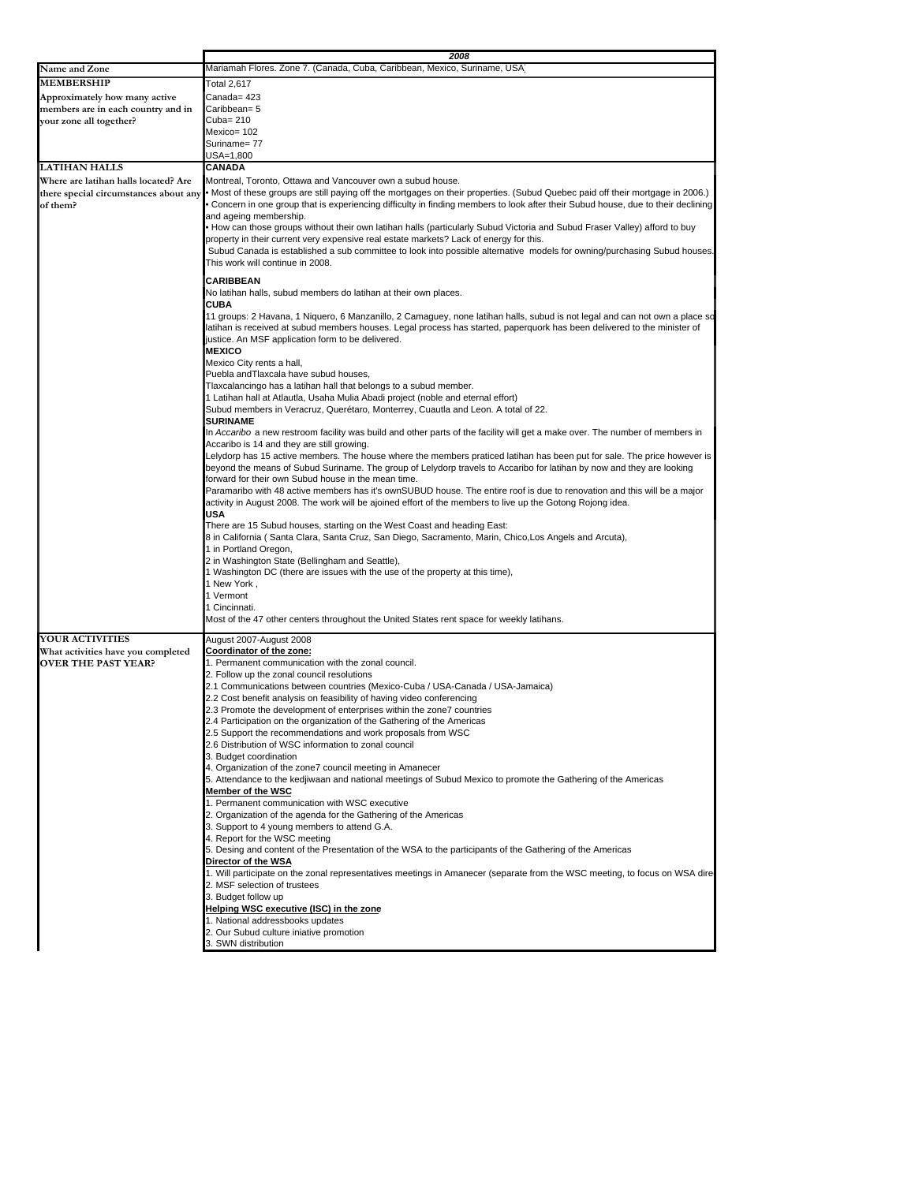|                                                   | 2008                                                                                                                                                                                                                                                              |  |
|---------------------------------------------------|-------------------------------------------------------------------------------------------------------------------------------------------------------------------------------------------------------------------------------------------------------------------|--|
| Name and Zone                                     | Mariamah Flores. Zone 7. (Canada, Cuba, Caribbean, Mexico, Suriname, USA                                                                                                                                                                                          |  |
| <b>MEMBERSHIP</b>                                 | Total 2,617                                                                                                                                                                                                                                                       |  |
| Approximately how many active                     | Canada= 423                                                                                                                                                                                                                                                       |  |
| members are in each country and in                | Caribbean= 5                                                                                                                                                                                                                                                      |  |
| your zone all together?                           | Cuba= 210                                                                                                                                                                                                                                                         |  |
|                                                   | Mexico= 102                                                                                                                                                                                                                                                       |  |
|                                                   | Suriname= 77                                                                                                                                                                                                                                                      |  |
|                                                   | USA=1,800                                                                                                                                                                                                                                                         |  |
| <b>LATIHAN HALLS</b>                              | <b>CANADA</b>                                                                                                                                                                                                                                                     |  |
| Where are latihan halls located? Are              | Montreal, Toronto, Ottawa and Vancouver own a subud house.                                                                                                                                                                                                        |  |
| there special circumstances about any<br>of them? | . Most of these groups are still paying off the mortgages on their properties. (Subud Quebec paid off their mortgage in 2006.)<br>Concern in one group that is experiencing difficulty in finding members to look after their Subud house, due to their declining |  |
|                                                   | and ageing membership.                                                                                                                                                                                                                                            |  |
|                                                   | • How can those groups without their own latihan halls (particularly Subud Victoria and Subud Fraser Valley) afford to buy                                                                                                                                        |  |
|                                                   | property in their current very expensive real estate markets? Lack of energy for this.                                                                                                                                                                            |  |
|                                                   | Subud Canada is established a sub committee to look into possible alternative models for owning/purchasing Subud houses.                                                                                                                                          |  |
|                                                   | This work will continue in 2008.                                                                                                                                                                                                                                  |  |
|                                                   | <b>CARIBBEAN</b>                                                                                                                                                                                                                                                  |  |
|                                                   | No latihan halls, subud members do latihan at their own places.                                                                                                                                                                                                   |  |
|                                                   | CUBA                                                                                                                                                                                                                                                              |  |
|                                                   | 11 groups: 2 Havana, 1 Niquero, 6 Manzanillo, 2 Camaguey, none latihan halls, subud is not legal and can not own a place so                                                                                                                                       |  |
|                                                   | latihan is received at subud members houses. Legal process has started, paperquork has been delivered to the minister of                                                                                                                                          |  |
|                                                   | justice. An MSF application form to be delivered.                                                                                                                                                                                                                 |  |
|                                                   | <b>MEXICO</b>                                                                                                                                                                                                                                                     |  |
|                                                   | Mexico City rents a hall,<br>Puebla and Tlaxcala have subud houses,                                                                                                                                                                                               |  |
|                                                   | Tlaxcalancingo has a latihan hall that belongs to a subud member.                                                                                                                                                                                                 |  |
|                                                   | 1 Latihan hall at Atlautla, Usaha Mulia Abadi project (noble and eternal effort)                                                                                                                                                                                  |  |
|                                                   | Subud members in Veracruz, Querétaro, Monterrey, Cuautla and Leon. A total of 22.                                                                                                                                                                                 |  |
|                                                   | <b>SURINAME</b>                                                                                                                                                                                                                                                   |  |
|                                                   | In Accaribo a new restroom facility was build and other parts of the facility will get a make over. The number of members in                                                                                                                                      |  |
|                                                   | Accaribo is 14 and they are still growing.                                                                                                                                                                                                                        |  |
|                                                   | Lelydorp has 15 active members. The house where the members praticed latihan has been put for sale. The price however is<br>beyond the means of Subud Suriname. The group of Lelydorp travels to Accaribo for latihan by now and they are looking                 |  |
|                                                   | forward for their own Subud house in the mean time.                                                                                                                                                                                                               |  |
|                                                   | Paramaribo with 48 active members has it's ownSUBUD house. The entire roof is due to renovation and this will be a major                                                                                                                                          |  |
|                                                   | activity in August 2008. The work will be ajoined effort of the members to live up the Gotong Rojong idea.                                                                                                                                                        |  |
|                                                   | USA                                                                                                                                                                                                                                                               |  |
|                                                   | There are 15 Subud houses, starting on the West Coast and heading East:                                                                                                                                                                                           |  |
|                                                   | ,8 in California (Santa Clara, Santa Cruz, San Diego, Sacramento, Marin, Chico,Los Angels and Arcuta)                                                                                                                                                             |  |
|                                                   | 1 in Portland Oregon,<br>2 in Washington State (Bellingham and Seattle),                                                                                                                                                                                          |  |
|                                                   | 1 Washington DC (there are issues with the use of the property at this time),                                                                                                                                                                                     |  |
|                                                   | 1 New York,                                                                                                                                                                                                                                                       |  |
|                                                   | 1 Vermont                                                                                                                                                                                                                                                         |  |
|                                                   | 1 Cincinnati.                                                                                                                                                                                                                                                     |  |
|                                                   | Most of the 47 other centers throughout the United States rent space for weekly latihans.                                                                                                                                                                         |  |
| <b>YOUR ACTIVITIES</b>                            | August 2007-August 2008                                                                                                                                                                                                                                           |  |
| What activities have you completed                | Coordinator of the zone:                                                                                                                                                                                                                                          |  |
| <b>OVER THE PAST YEAR?</b>                        | 1. Permanent communication with the zonal council.                                                                                                                                                                                                                |  |
|                                                   | 2. Follow up the zonal council resolutions                                                                                                                                                                                                                        |  |
|                                                   | 2.1 Communications between countries (Mexico-Cuba / USA-Canada / USA-Jamaica)                                                                                                                                                                                     |  |
|                                                   | 2.2 Cost benefit analysis on feasibility of having video conferencing                                                                                                                                                                                             |  |
|                                                   | 2.3 Promote the development of enterprises within the zone7 countries                                                                                                                                                                                             |  |
|                                                   | 2.4 Participation on the organization of the Gathering of the Americas<br>2.5 Support the recommendations and work proposals from WSC                                                                                                                             |  |
|                                                   | 2.6 Distribution of WSC information to zonal council                                                                                                                                                                                                              |  |
|                                                   | 3. Budget coordination                                                                                                                                                                                                                                            |  |
|                                                   | 4. Organization of the zone7 council meeting in Amanecer                                                                                                                                                                                                          |  |
|                                                   | 5. Attendance to the kedjiwaan and national meetings of Subud Mexico to promote the Gathering of the Americas                                                                                                                                                     |  |
|                                                   | Member of the WSC                                                                                                                                                                                                                                                 |  |
|                                                   | 1. Permanent communication with WSC executive                                                                                                                                                                                                                     |  |
|                                                   | 2. Organization of the agenda for the Gathering of the Americas                                                                                                                                                                                                   |  |
|                                                   | 3. Support to 4 young members to attend G.A.<br>4. Report for the WSC meeting                                                                                                                                                                                     |  |
|                                                   | 5. Desing and content of the Presentation of the WSA to the participants of the Gathering of the Americas                                                                                                                                                         |  |
|                                                   | Director of the WSA                                                                                                                                                                                                                                               |  |
|                                                   | 1. Will participate on the zonal representatives meetings in Amanecer (separate from the WSC meeting, to focus on WSA dire                                                                                                                                        |  |
|                                                   | 2. MSF selection of trustees                                                                                                                                                                                                                                      |  |
|                                                   | 3. Budget follow up                                                                                                                                                                                                                                               |  |
|                                                   | Helping WSC executive (ISC) in the zone                                                                                                                                                                                                                           |  |
|                                                   | 1. National addressbooks updates                                                                                                                                                                                                                                  |  |
|                                                   | 2. Our Subud culture iniative promotion<br>3. SWN distribution                                                                                                                                                                                                    |  |
|                                                   |                                                                                                                                                                                                                                                                   |  |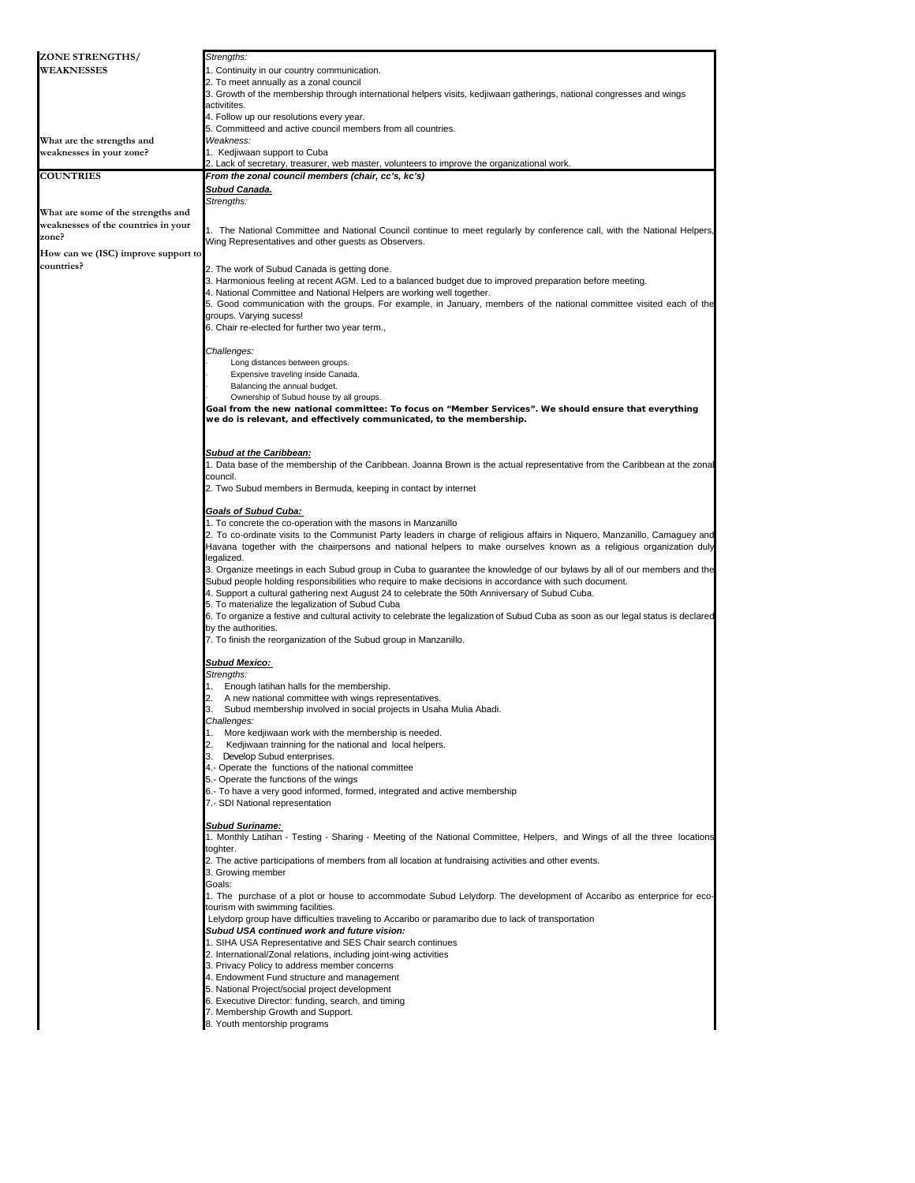| ZONE STRENGTHS/                     | Strengths:                                                                                                                                                |
|-------------------------------------|-----------------------------------------------------------------------------------------------------------------------------------------------------------|
| <b>WEAKNESSES</b>                   | 1. Continuity in our country communication.                                                                                                               |
|                                     | 2. To meet annually as a zonal council                                                                                                                    |
|                                     | 3. Growth of the membership through international helpers visits, kedjiwaan gatherings, national congresses and wings                                     |
|                                     | activitites.                                                                                                                                              |
|                                     | 4. Follow up our resolutions every year.                                                                                                                  |
| What are the strengths and          | 5. Committeed and active council members from all countries.<br>Weakness:                                                                                 |
| weaknesses in your zone?            | 1. Kedjiwaan support to Cuba                                                                                                                              |
|                                     | 2. Lack of secretary, treasurer, web master, volunteers to improve the organizational work.                                                               |
| <b>COUNTRIES</b>                    | From the zonal council members (chair, cc's, kc's)                                                                                                        |
|                                     | Subud Canada.                                                                                                                                             |
|                                     | Strengths:                                                                                                                                                |
| What are some of the strengths and  |                                                                                                                                                           |
| weaknesses of the countries in your | 1. The National Committee and National Council continue to meet regularly by conference call, with the National Helpers,                                  |
| zone?                               | Wing Representatives and other quests as Observers.                                                                                                       |
| How can we (ISC) improve support to |                                                                                                                                                           |
| countries?                          | 2. The work of Subud Canada is getting done.                                                                                                              |
|                                     | 3. Harmonious feeling at recent AGM. Led to a balanced budget due to improved preparation before meeting.                                                 |
|                                     | 4. National Committee and National Helpers are working well together.                                                                                     |
|                                     | 5. Good communication with the groups. For example, in January, members of the national committee visited each of the                                     |
|                                     | groups. Varying sucess!                                                                                                                                   |
|                                     | 6. Chair re-elected for further two year term.,                                                                                                           |
|                                     |                                                                                                                                                           |
|                                     | Challenges:                                                                                                                                               |
|                                     | Long distances between groups.                                                                                                                            |
|                                     | Expensive traveling inside Canada.<br>Balancing the annual budget.                                                                                        |
|                                     | Ownership of Subud house by all groups.                                                                                                                   |
|                                     | Goal from the new national committee: To focus on "Member Services". We should ensure that everything                                                     |
|                                     | we do is relevant, and effectively communicated, to the membership.                                                                                       |
|                                     |                                                                                                                                                           |
|                                     |                                                                                                                                                           |
|                                     | <b>Subud at the Caribbean:</b>                                                                                                                            |
|                                     | 1. Data base of the membership of the Caribbean. Joanna Brown is the actual representative from the Caribbean at the zonal                                |
|                                     | council.<br>2. Two Subud members in Bermuda, keeping in contact by internet                                                                               |
|                                     |                                                                                                                                                           |
|                                     | <b>Goals of Subud Cuba:</b>                                                                                                                               |
|                                     | 1. To concrete the co-operation with the masons in Manzanillo                                                                                             |
|                                     | 2. To co-ordinate visits to the Communist Party leaders in charge of religious affairs in Niquero, Manzanillo, Camaguey and                               |
|                                     | Havana together with the chairpersons and national helpers to make ourselves known as a religious organization duly                                       |
|                                     | legalized.                                                                                                                                                |
|                                     | 3. Organize meetings in each Subud group in Cuba to guarantee the knowledge of our bylaws by all of our members and the                                   |
|                                     | Subud people holding responsibilities who require to make decisions in accordance with such document.                                                     |
|                                     | 4. Support a cultural gathering next August 24 to celebrate the 50th Anniversary of Subud Cuba.                                                           |
|                                     | 5. To materialize the legalization of Subud Cuba                                                                                                          |
|                                     | 6. To organize a festive and cultural activity to celebrate the legalization of Subud Cuba as soon as our legal status is declared<br>by the authorities. |
|                                     | 7. To finish the reorganization of the Subud group in Manzanillo.                                                                                         |
|                                     |                                                                                                                                                           |
|                                     | <b>Subud Mexico:</b>                                                                                                                                      |
|                                     | Strengths:                                                                                                                                                |
|                                     | 1. Enough latihan halls for the membership.                                                                                                               |
|                                     | 2. A new national committee with wings representatives.                                                                                                   |
|                                     | Subud membership involved in social projects in Usaha Mulia Abadi.<br>3.                                                                                  |
|                                     | Challenges:                                                                                                                                               |
|                                     | More kedjiwaan work with the membership is needed.<br>1.<br>2.<br>Kedjiwaan trainning for the national and local helpers.                                 |
|                                     | 3. Develop Subud enterprises.                                                                                                                             |
|                                     | 4.- Operate the functions of the national committee                                                                                                       |
|                                     | 5.- Operate the functions of the wings                                                                                                                    |
|                                     | 6.- To have a very good informed, formed, integrated and active membership                                                                                |
|                                     | 7.- SDI National representation                                                                                                                           |
|                                     |                                                                                                                                                           |
|                                     | <b>Subud Suriname:</b>                                                                                                                                    |
|                                     | 1. Monthly Latihan - Testing - Sharing - Meeting of the National Committee, Helpers, and Wings of all the three locations                                 |
|                                     | toghter.                                                                                                                                                  |
|                                     | 2. The active participations of members from all location at fundraising activities and other events.<br>3. Growing member                                |
|                                     | Goals:                                                                                                                                                    |
|                                     | 1. The purchase of a plot or house to accommodate Subud Lelydorp. The development of Accaribo as enterprice for eco-                                      |
|                                     | tourism with swimming facilities.                                                                                                                         |
|                                     | Lelydorp group have difficulties traveling to Accaribo or paramaribo due to lack of transportation                                                        |
|                                     | Subud USA continued work and future vision:                                                                                                               |
|                                     | 1. SIHA USA Representative and SES Chair search continues                                                                                                 |
|                                     | 2. International/Zonal relations, including joint-wing activities                                                                                         |
|                                     | 3. Privacy Policy to address member concerns                                                                                                              |
|                                     | 4. Endowment Fund structure and management                                                                                                                |
|                                     | 5. National Project/social project development                                                                                                            |
|                                     | 6. Executive Director: funding, search, and timing<br>7. Membership Growth and Support.                                                                   |
|                                     | 8. Youth mentorship programs                                                                                                                              |
|                                     |                                                                                                                                                           |
|                                     |                                                                                                                                                           |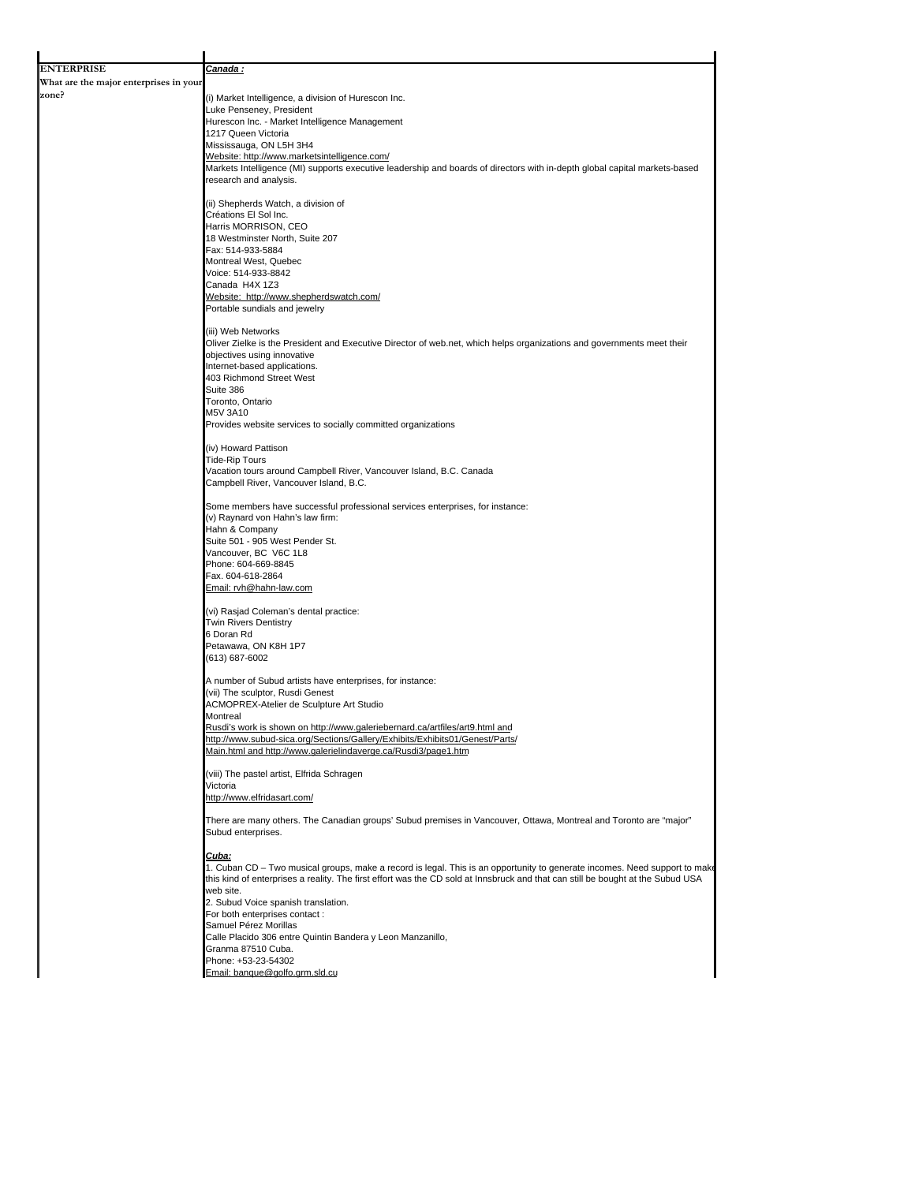| <b>ENTERPRISE</b>                      | Canada :                                                                                                                                                                    |
|----------------------------------------|-----------------------------------------------------------------------------------------------------------------------------------------------------------------------------|
| What are the major enterprises in your |                                                                                                                                                                             |
| zone?                                  | (i) Market Intelligence, a division of Hurescon Inc.                                                                                                                        |
|                                        | Luke Penseney, President                                                                                                                                                    |
|                                        | Hurescon Inc. - Market Intelligence Management<br>1217 Queen Victoria                                                                                                       |
|                                        | Mississauga, ON L5H 3H4                                                                                                                                                     |
|                                        | Website: http://www.marketsintelligence.com/                                                                                                                                |
|                                        | Markets Intelligence (MI) supports executive leadership and boards of directors with in-depth global capital markets-based<br>research and analysis.                        |
|                                        | (ii) Shepherds Watch, a division of                                                                                                                                         |
|                                        | Créations El Sol Inc.<br>Harris MORRISON, CEO                                                                                                                               |
|                                        | 18 Westminster North, Suite 207                                                                                                                                             |
|                                        | Fax: 514-933-5884                                                                                                                                                           |
|                                        | Montreal West, Quebec                                                                                                                                                       |
|                                        | Voice: 514-933-8842<br>Canada H4X 1Z3                                                                                                                                       |
|                                        | Website: http://www.shepherdswatch.com/                                                                                                                                     |
|                                        | Portable sundials and jewelry                                                                                                                                               |
|                                        |                                                                                                                                                                             |
|                                        | (iii) Web Networks<br>Oliver Zielke is the President and Executive Director of web.net, which helps organizations and governments meet their<br>objectives using innovative |
|                                        | Internet-based applications.                                                                                                                                                |
|                                        | 403 Richmond Street West                                                                                                                                                    |
|                                        | Suite 386<br>Toronto, Ontario                                                                                                                                               |
|                                        | M5V 3A10                                                                                                                                                                    |
|                                        | Provides website services to socially committed organizations                                                                                                               |
|                                        |                                                                                                                                                                             |
|                                        | (iv) Howard Pattison                                                                                                                                                        |
|                                        | <b>Tide-Rip Tours</b>                                                                                                                                                       |
|                                        | Vacation tours around Campbell River, Vancouver Island, B.C. Canada<br>Campbell River, Vancouver Island, B.C.                                                               |
|                                        | Some members have successful professional services enterprises, for instance:                                                                                               |
|                                        | (v) Raynard von Hahn's law firm:                                                                                                                                            |
|                                        | Hahn & Company                                                                                                                                                              |
|                                        | Suite 501 - 905 West Pender St.<br>Vancouver, BC V6C 1L8                                                                                                                    |
|                                        | Phone: 604-669-8845                                                                                                                                                         |
|                                        | Fax. 604-618-2864                                                                                                                                                           |
|                                        | Email: rvh@hahn-law.com                                                                                                                                                     |
|                                        | (vi) Rasjad Coleman's dental practice:                                                                                                                                      |
|                                        | <b>Twin Rivers Dentistry</b>                                                                                                                                                |
|                                        | 6 Doran Rd<br>Petawawa, ON K8H 1P7                                                                                                                                          |
|                                        | (613) 687-6002                                                                                                                                                              |
|                                        | A number of Subud artists have enterprises, for instance:                                                                                                                   |
|                                        | (vii) The sculptor, Rusdi Genest                                                                                                                                            |
|                                        | <b>ACMOPREX-Atelier de Sculpture Art Studio</b>                                                                                                                             |
|                                        | montreal                                                                                                                                                                    |
|                                        | Rusdi's work is shown on http://www.galeriebernard.ca/artfiles/art9.html and<br>http://www.subud-sica.org/Sections/Gallery/Exhibits/Exhibits01/Genest/Parts/                |
|                                        | Main.html and http://www.galerielindaverge.ca/Rusdi3/page1.htm                                                                                                              |
|                                        | (viii) The pastel artist, Elfrida Schragen                                                                                                                                  |
|                                        | Victoria                                                                                                                                                                    |
|                                        | http://www.elfridasart.com/                                                                                                                                                 |
|                                        | There are many others. The Canadian groups' Subud premises in Vancouver, Ottawa, Montreal and Toronto are "major"<br>Subud enterprises.                                     |
|                                        | Cuba:                                                                                                                                                                       |
|                                        | 1. Cuban CD - Two musical groups, make a record is legal. This is an opportunity to generate incomes. Need support to make                                                  |
|                                        | this kind of enterprises a reality. The first effort was the CD sold at Innsbruck and that can still be bought at the Subud USA                                             |
|                                        | web site.<br>2. Subud Voice spanish translation.                                                                                                                            |
|                                        | For both enterprises contact:                                                                                                                                               |
|                                        | Samuel Pérez Morillas                                                                                                                                                       |
|                                        | Calle Placido 306 entre Quintin Bandera y Leon Manzanillo,                                                                                                                  |
|                                        | Granma 87510 Cuba.                                                                                                                                                          |
|                                        | Phone: +53-23-54302<br>Email: banque@golfo.grm.sld.cu                                                                                                                       |
|                                        |                                                                                                                                                                             |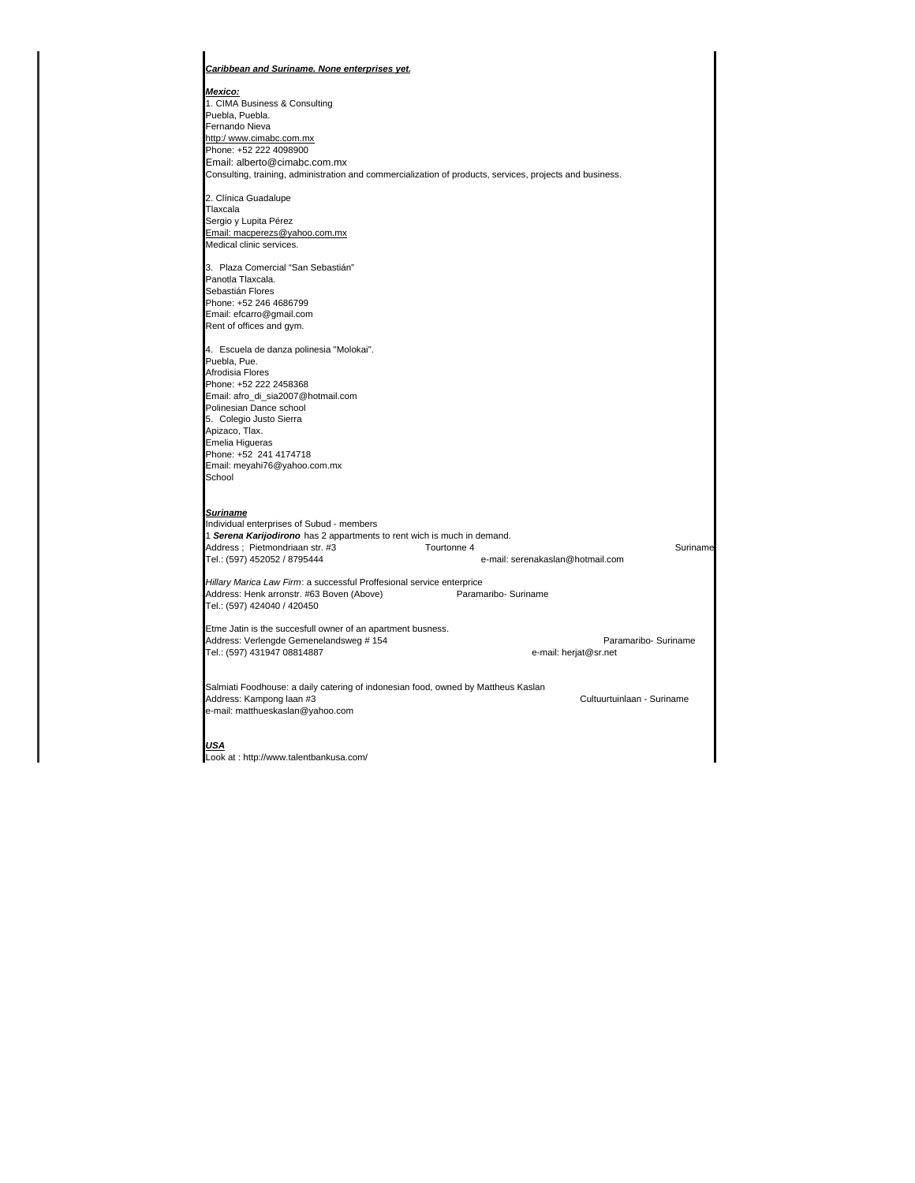| Caribbean and Suriname. None enterprises yet.                                                            |                                  |
|----------------------------------------------------------------------------------------------------------|----------------------------------|
| <u> Mexico:</u>                                                                                          |                                  |
| 1. CIMA Business & Consulting                                                                            |                                  |
| Puebla, Puebla.                                                                                          |                                  |
| Fernando Nieva                                                                                           |                                  |
| http:/www.cimabc.com.mx                                                                                  |                                  |
| Phone: +52 222 4098900                                                                                   |                                  |
| Email: alberto@cimabc.com.mx                                                                             |                                  |
| Consulting, training, administration and commercialization of products, services, projects and business. |                                  |
| 2. Clínica Guadalupe                                                                                     |                                  |
| Tlaxcala                                                                                                 |                                  |
| Sergio y Lupita Pérez                                                                                    |                                  |
| Email: macperezs@yahoo.com.mx                                                                            |                                  |
| Medical clinic services.                                                                                 |                                  |
|                                                                                                          |                                  |
| 3. Plaza Comercial "San Sebastián"<br>Panotla Tlaxcala.                                                  |                                  |
| Sebastián Flores                                                                                         |                                  |
| Phone: +52 246 4686799                                                                                   |                                  |
| Email: efcarro@gmail.com                                                                                 |                                  |
| Rent of offices and gym.                                                                                 |                                  |
|                                                                                                          |                                  |
| 4. Escuela de danza polinesia "Molokai".                                                                 |                                  |
| Puebla, Pue.                                                                                             |                                  |
| Afrodisia Flores                                                                                         |                                  |
| Phone: +52 222 2458368                                                                                   |                                  |
| Email: afro_di_sia2007@hotmail.com                                                                       |                                  |
| Polinesian Dance school                                                                                  |                                  |
| 5. Colegio Justo Sierra                                                                                  |                                  |
| Apizaco, Tlax.                                                                                           |                                  |
| Emelia Higueras                                                                                          |                                  |
| Phone: +52 241 4174718                                                                                   |                                  |
| Email: meyahi76@yahoo.com.mx                                                                             |                                  |
| School                                                                                                   |                                  |
| <b>Suriname</b>                                                                                          |                                  |
| Individual enterprises of Subud - members                                                                |                                  |
| 1 Serena Karijodirono has 2 appartments to rent wich is much in demand.                                  |                                  |
| Address; Pietmondriaan str. #3<br>Tourtonne 4                                                            | Suriname                         |
| Tel.: (597) 452052 / 8795444                                                                             | e-mail: serenakaslan@hotmail.com |
| Hillary Marica Law Firm: a successful Proffesional service enterprice                                    |                                  |
| Address: Henk arronstr. #63 Boven (Above)<br>Paramaribo- Suriname                                        |                                  |
| Tel.: (597) 424040 / 420450                                                                              |                                  |
| Etme Jatin is the succesfull owner of an apartment busness.                                              |                                  |
| Address: Verlengde Gemenelandsweg # 154                                                                  | Paramaribo- Suriname             |
| Tel.: (597) 431947 08814887                                                                              | e-mail: herjat@sr.net            |
|                                                                                                          |                                  |
| Salmiati Foodhouse: a daily catering of indonesian food, owned by Mattheus Kaslan                        |                                  |
| Address: Kampong laan #3                                                                                 | Cultuurtuinlaan - Suriname       |
| e-mail: matthueskaslan@yahoo.com                                                                         |                                  |
| <u>USA</u>                                                                                               |                                  |
| Look at : http://www.talentbankusa.com/                                                                  |                                  |